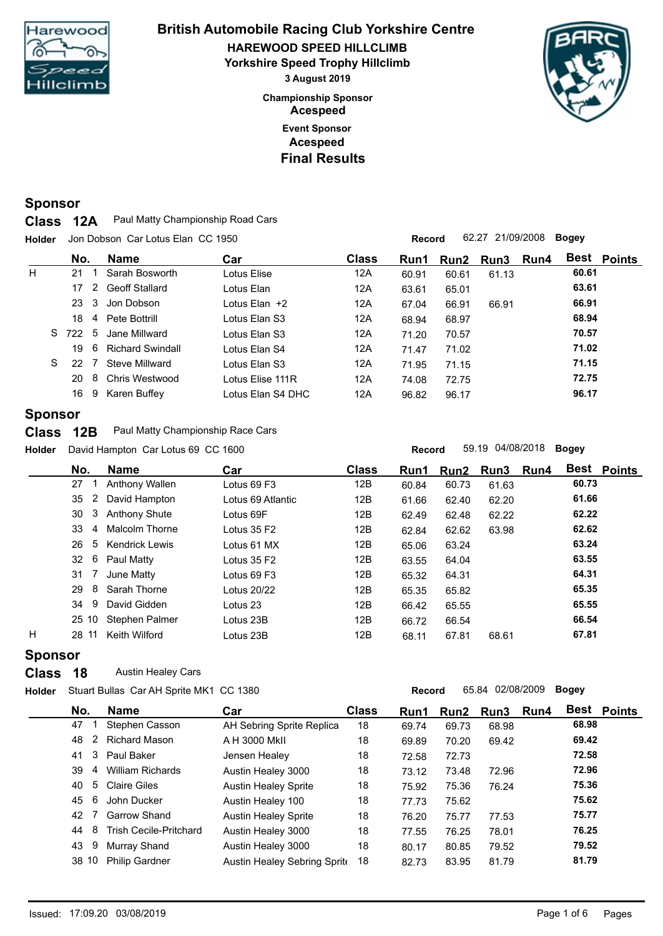

## **Event Sponsor Championship Sponsor HAREWOOD SPEED HILLCLIMB British Automobile Racing Club Yorkshire Centre Yorkshire Speed Trophy Hillclimb 3 August 2019 Acespeed Acespeed Final Results**



## **Sponsor**

**Class** 12A Paul Matty Championship Road Cars

**Holder Record** 62.27 21/09/2008 **Bogey** Jon Dobson Car Lotus Elan CC 1950

|   | No.       |               | <b>Name</b>             | Car               | <b>Class</b> | Run1  |       | Run2 Run3 | Run4 | <b>Best Points</b> |  |
|---|-----------|---------------|-------------------------|-------------------|--------------|-------|-------|-----------|------|--------------------|--|
| H | 21        |               | Sarah Bosworth          | Lotus Elise       | 12A          | 60.91 | 60.61 | 61.13     |      | 60.61              |  |
|   | 17        | $\mathcal{P}$ | Geoff Stallard          | Lotus Elan        | 12A          | 63.61 | 65.01 |           |      | 63.61              |  |
|   | 23        | 3             | Jon Dobson              | Lotus Elan +2     | 12A          | 67.04 | 66.91 | 66.91     |      | 66.91              |  |
|   | 18        |               | 4 Pete Bottrill         | Lotus Elan S3     | 12A          | 68.94 | 68.97 |           |      | 68.94              |  |
|   | 722<br>S. | -5            | Jane Millward           | Lotus Elan S3     | 12A          | 71.20 | 70.57 |           |      | 70.57              |  |
|   | 19        | 6             | <b>Richard Swindall</b> | Lotus Elan S4     | 12A          | 71.47 | 71.02 |           |      | 71.02              |  |
|   | S.<br>22  |               | Steve Millward          | Lotus Elan S3     | 12A          | 71.95 | 71.15 |           |      | 71.15              |  |
|   | 20        | 8             | Chris Westwood          | Lotus Flise 111R  | 12A          | 74.08 | 72.75 |           |      | 72.75              |  |
|   | 16        | 9             | Karen Buffey            | Lotus Elan S4 DHC | 12A          | 96.82 | 96.17 |           |      | 96.17              |  |

### **Sponsor**

**Class** 12B Paul Matty Championship Race Cars

**Holder Record** 59.19 04/08/2018 **Bogey** David Hampton Car Lotus 69 CC 1600

|   | No.     | <b>Name</b>           | Car               | <b>Class</b> | Run1  |       | Run2 Run3 | Run4 |       | <b>Best Points</b> |
|---|---------|-----------------------|-------------------|--------------|-------|-------|-----------|------|-------|--------------------|
|   | 27      | Anthony Wallen        | Lotus 69 F3       | 12B          | 60.84 | 60.73 | 61.63     |      | 60.73 |                    |
|   | 2<br>35 | David Hampton         | Lotus 69 Atlantic | 12B          | 61.66 | 62.40 | 62.20     |      | 61.66 |                    |
|   | 3<br>30 | <b>Anthony Shute</b>  | Lotus 69F         | 12B          | 62.49 | 62.48 | 62.22     |      | 62.22 |                    |
|   | 33<br>4 | <b>Malcolm Thorne</b> | Lotus 35 F2       | 12B          | 62.84 | 62.62 | 63.98     |      | 62.62 |                    |
|   | 26      | 5 Kendrick Lewis      | Lotus 61 MX       | 12B          | 65.06 | 63.24 |           |      | 63.24 |                    |
|   | 32      | 6 Paul Matty          | Lotus 35 F2       | 12B          | 63.55 | 64.04 |           |      | 63.55 |                    |
|   | 31      | June Matty            | Lotus 69 F3       | 12B          | 65.32 | 64.31 |           |      | 64.31 |                    |
|   | 8<br>29 | Sarah Thorne          | Lotus 20/22       | 12B          | 65.35 | 65.82 |           |      | 65.35 |                    |
|   | 9<br>34 | David Gidden          | Lotus 23          | 12B          | 66.42 | 65.55 |           |      | 65.55 |                    |
|   | 25 10   | Stephen Palmer        | Lotus 23B         | 12B          | 66.72 | 66.54 |           |      | 66.54 |                    |
| н | 28 11   | Keith Wilford         | Lotus 23B         | 12B          | 68.11 | 67.81 | 68.61     |      | 67.81 |                    |
|   |         |                       |                   |              |       |       |           |      |       |                    |

## **Sponsor**

**Class** 18 Austin Healey Cars

**Holder Record** 65.84 02/08/2009 **Bogey** Stuart Bullas Car AH Sprite MK1 CC 1380

| No. |    | Name                          | Car                          | <b>Class</b> | Run1  | Run2  | Run3 Run4 |       | <b>Best Points</b> |
|-----|----|-------------------------------|------------------------------|--------------|-------|-------|-----------|-------|--------------------|
| 47  |    | Stephen Casson                | AH Sebring Sprite Replica    | 18           | 69.74 | 69.73 | 68.98     | 68.98 |                    |
| 48  | 2  | <b>Richard Mason</b>          | A H 3000 MkII                | 18           | 69.89 | 70.20 | 69.42     | 69.42 |                    |
| 41  | 3  | Paul Baker                    | Jensen Healey                | 18           | 72.58 | 72.73 |           | 72.58 |                    |
| 39  | 4  | <b>William Richards</b>       | Austin Healey 3000           | 18           | 73.12 | 73.48 | 72.96     | 72.96 |                    |
| 40  | 5  | Claire Giles                  | <b>Austin Healey Sprite</b>  | 18           | 75.92 | 75.36 | 76.24     | 75.36 |                    |
| 45  | -6 | John Ducker                   | Austin Healey 100            | 18           | 77.73 | 75.62 |           | 75.62 |                    |
| 42  |    | <b>Garrow Shand</b>           | <b>Austin Healey Sprite</b>  | 18           | 76.20 | 75.77 | 77.53     | 75.77 |                    |
| 44  | 8  | <b>Trish Cecile-Pritchard</b> | Austin Healey 3000           | 18           | 77.55 | 76.25 | 78.01     | 76.25 |                    |
| 43  | 9  | Murray Shand                  | Austin Healey 3000           | 18           | 80.17 | 80.85 | 79.52     | 79.52 |                    |
|     |    | 38 10 Philip Gardner          | Austin Healey Sebring Sprite | 18           | 82.73 | 83.95 | 81.79     | 81.79 |                    |
|     |    |                               |                              |              |       |       |           |       |                    |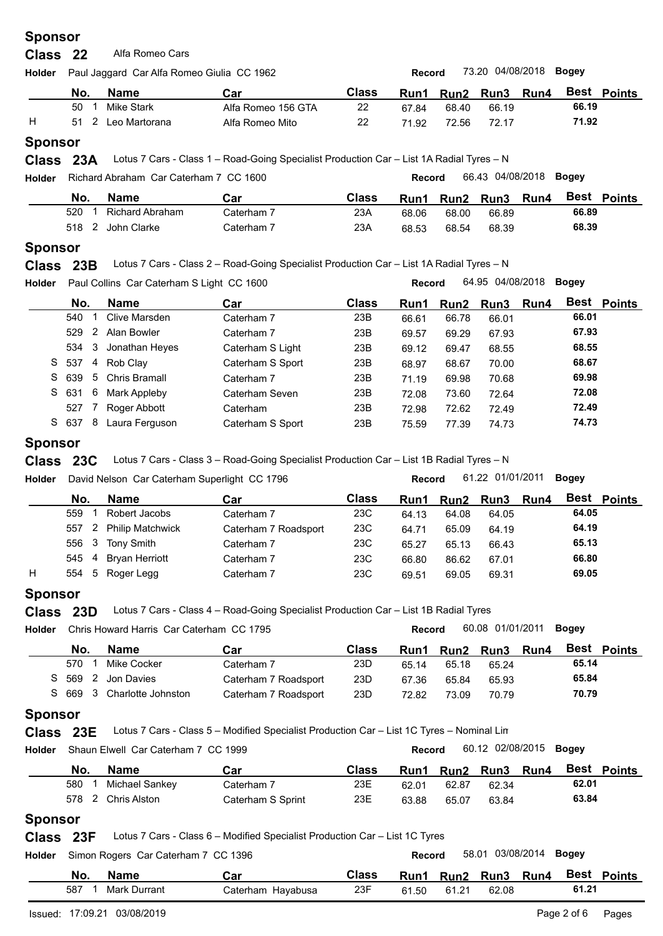**Class** 22 Alfa Romeo Cars

| Holder |     | Paul Jaggard Car Alfa Romeo Giulia CC 1962 |                    |       | Record |       | 73.20 04/08/2018 <b>Bogey</b> |       |               |  |
|--------|-----|--------------------------------------------|--------------------|-------|--------|-------|-------------------------------|-------|---------------|--|
|        | No. | <b>Name</b>                                | Car                | Class | Run1   |       | Run2 Run3 Run4                | Best  | <b>Points</b> |  |
|        | 50  | Mike Stark                                 | Alfa Romeo 156 GTA | 22    | 67.84  | 68.40 | 66.19                         | 66.19 |               |  |
|        | 51  | 2 Leo Martorana                            | Alfa Romeo Mito    | 22    | 71.92  | 72.56 | 72.17                         | 71.92 |               |  |
|        |     |                                            |                    |       |        |       |                               |       |               |  |

### **Sponsor**

**Class** 23A Lotus 7 Cars - Class 1 – Road-Going Specialist Production Car – List 1A Radial Tyres – N

|     |                   | Richard Abraham Car Caterham 7 CC 1600 |       | Record      |       | 66.43 04/08/2018 | Boaev |               |
|-----|-------------------|----------------------------------------|-------|-------------|-------|------------------|-------|---------------|
| No. | <b>Name</b>       | Car                                    | Class | <b>Run1</b> |       | Run2 Run3 Run4   | Best  | <b>Points</b> |
| 520 | Richard Abraham   | Caterham 7                             | 23A   | 68.06       | 68.00 | 66.89            | 66.89 |               |
|     | 518 2 John Clarke | Caterham 7                             | 23A   | 68.53       | 68.54 | 68.39            | 68.39 |               |

#### **Sponsor**

**Class** 23B Lotus 7 Cars - Class 2 – Road-Going Specialist Production Car – List 1A Radial Tyres – N

| <b>Holder</b> |       | Paul Collins Car Caterham S Light CC 1600 |                 |                  | 64.95 04/08/2018<br><b>Bogey</b><br>Record |       |       |           |      |                    |  |
|---------------|-------|-------------------------------------------|-----------------|------------------|--------------------------------------------|-------|-------|-----------|------|--------------------|--|
|               | No.   |                                           | <b>Name</b>     | Car              | <b>Class</b>                               | Run1  |       | Run2 Run3 | Run4 | <b>Best Points</b> |  |
|               | 540   |                                           | Clive Marsden   | Caterham 7       | 23B                                        | 66.61 | 66.78 | 66.01     |      | 66.01              |  |
|               | 529   | 2                                         | Alan Bowler     | Caterham 7       | 23B                                        | 69.57 | 69.29 | 67.93     |      | 67.93              |  |
|               | 534   | 3                                         | Jonathan Heyes  | Caterham S Light | 23B                                        | 69.12 | 69.47 | 68.55     |      | 68.55              |  |
|               | S 537 |                                           | 4 Rob Clav      | Caterham S Sport | 23B                                        | 68.97 | 68.67 | 70.00     |      | 68.67              |  |
|               | S 639 |                                           | 5 Chris Bramall | Caterham 7       | 23B                                        | 71.19 | 69.98 | 70.68     |      | 69.98              |  |
|               | S 631 | 6                                         | Mark Appleby    | Caterham Seven   | 23B                                        | 72.08 | 73.60 | 72.64     |      | 72.08              |  |
|               | 527   |                                           | Roger Abbott    | Caterham         | 23B                                        | 72.98 | 72.62 | 72.49     |      | 72.49              |  |
|               | S 637 | 8                                         | Laura Ferguson  | Caterham S Sport | 23B                                        | 75.59 | 77.39 | 74.73     |      | 74.73              |  |
|               |       |                                           |                 |                  |                                            |       |       |           |      |                    |  |

#### **Sponsor**

**Class** 23C Lotus 7 Cars - Class 3 – Road-Going Specialist Production Car – List 1B Radial Tyres – N

| <b>Holder</b> | David Nelson Car Caterham Superlight CC 1796 |  |                        |                      |              | 61.22 01/01/2011<br><b>Bogey</b><br><b>Record</b> |       |                     |  |       |             |  |
|---------------|----------------------------------------------|--|------------------------|----------------------|--------------|---------------------------------------------------|-------|---------------------|--|-------|-------------|--|
|               | No.                                          |  | Name                   | Car                  | <b>Class</b> |                                                   |       | Run1 Run2 Run3 Run4 |  |       | Best Points |  |
|               | 559                                          |  | Robert Jacobs          | Caterham 7           | 23C          | 64.13                                             | 64.08 | 64.05               |  | 64.05 |             |  |
|               |                                              |  | 557 2 Philip Matchwick | Caterham 7 Roadsport | 23C          | 64.71                                             | 65.09 | 64.19               |  | 64.19 |             |  |
|               |                                              |  | 556 3 Tony Smith       | Caterham 7           | 23C          | 65.27                                             | 65.13 | 66.43               |  | 65.13 |             |  |
|               |                                              |  | 545 4 Bryan Herriott   | Caterham 7           | 23C          | 66.80                                             | 86.62 | 67.01               |  | 66.80 |             |  |
| H             | 554 5                                        |  | Roger Legg             | Caterham 7           | 23C          | 69.51                                             | 69.05 | 69.31               |  | 69.05 |             |  |
|               |                                              |  |                        |                      |              |                                                   |       |                     |  |       |             |  |

### **Sponsor**

**Class** Lotus 7 Cars - Class 4 – Road-Going Specialist Production Car – List 1B Radial Tyres **23D**

| <b>Holder</b> |     | Chris Howard Harris Car Caterham CC 1795 |                      |              | <b>Record</b> |                | 60.08 01/01/2011 | Boaev |       |                    |
|---------------|-----|------------------------------------------|----------------------|--------------|---------------|----------------|------------------|-------|-------|--------------------|
|               | No. | <b>Name</b>                              | Car                  | <b>Class</b> | <b>Run1</b>   | Run2 Run3 Run4 |                  |       |       | <b>Best Points</b> |
|               | 570 | Mike Cocker                              | Caterham 7           | 23D          | 65.14         | 65.18          | 65.24            |       | 65.14 |                    |
|               |     | S 569 2 Jon Davies                       | Caterham 7 Roadsport | 23D          | 67.36         | 65.84          | 65.93            |       | 65.84 |                    |
|               |     | S 669 3 Charlotte Johnston               | Caterham 7 Roadsport | 23D          | 72.82         | 73.09          | 70.79            |       | 70.79 |                    |

### **Sponsor**

**Class** 23E Lotus 7 Cars - Class 5 – Modified Specialist Production Car – List 1C Tyres – Nominal Lin

| <b>Holder</b> |     | Shaun Elwell Car Caterham 7 CC 1999 |                   | 60.12 02/08/2015 <b>Bogey</b><br><b>Record</b> |       |           |       |      |       |                    |  |  |
|---------------|-----|-------------------------------------|-------------------|------------------------------------------------|-------|-----------|-------|------|-------|--------------------|--|--|
|               | No. | <b>Name</b>                         | Car               | <b>Class</b>                                   | Run1  | Run2 Run3 |       | Run4 |       | <b>Best Points</b> |  |  |
|               | 580 | Michael Sankey                      | Caterham 7        | 23E                                            | 62.01 | 62.87     | 62.34 |      | 62.01 |                    |  |  |
|               | 578 | 2 Chris Alston                      | Caterham S Sprint | 23E                                            | 63.88 | 65.07     | 63.84 |      | 63.84 |                    |  |  |
|               |     |                                     |                   |                                                |       |           |       |      |       |                    |  |  |

### **Sponsor**

**Class** Lotus 7 Cars - Class 6 – Modified Specialist Production Car – List 1C Tyres **23F**

| <b>Holder</b> |     | Simon Rogers Car Caterham 7 CC 1396 |                   |       | Record |       |                | 58.01 03/08/2014 <b>Bogey</b> |       |                    |
|---------------|-----|-------------------------------------|-------------------|-------|--------|-------|----------------|-------------------------------|-------|--------------------|
|               | No. | <b>Name</b>                         | Car               | Class | Run1   |       | Run2 Run3 Run4 |                               |       | <b>Best Points</b> |
|               | 587 | Mark Durrant                        | Caterham Hayabusa | 23F   | 61.50  | 61.21 | 62.08          |                               | 61.21 |                    |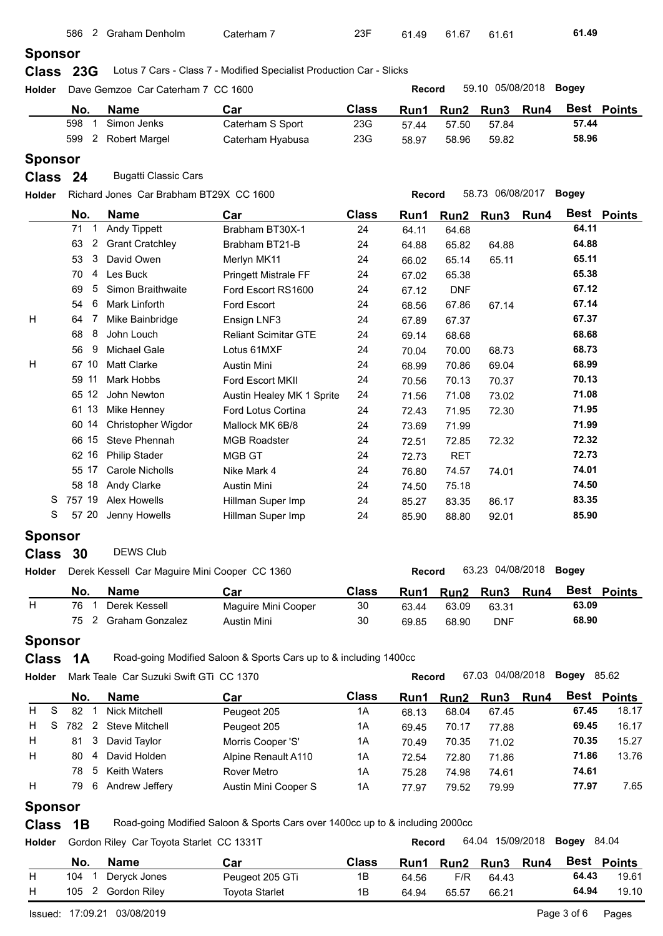| <b>Sponsor</b><br>Lotus 7 Cars - Class 7 - Modified Specialist Production Car - Slicks<br>Class 23G<br>59.10 05/08/2018<br><b>Bogey</b><br>Dave Gemzoe Car Caterham 7 CC 1600<br><b>Record</b><br>Best Points<br>No.<br><b>Name</b><br><b>Class</b><br>Car<br>Run <sub>2</sub><br>Run <sub>3</sub><br>Run1<br>Run4<br>598<br>Simon Jenks<br>57.44<br>Caterham S Sport<br>23G<br>1<br>57.50<br>57.44<br>57.84<br>58.96<br>599<br>2<br><b>Robert Margel</b><br>23G<br>Caterham Hyabusa<br>58.96<br>58.97<br>59.82<br><b>Sponsor</b><br><b>Bugatti Classic Cars</b><br>24<br>58.73 06/08/2017<br><b>Bogey</b><br>Richard Jones Car Brabham BT29X CC 1600<br>Record<br>Best Points<br>No.<br><b>Name</b><br><b>Class</b><br>Car<br>Run4<br>Run1<br>Run2<br>Run <sub>3</sub><br>64.11<br>71<br><b>Andy Tippett</b><br>Brabham BT30X-1<br>$\mathbf 1$<br>24<br>64.11<br>64.68<br>64.88<br><b>Grant Cratchley</b><br>63<br>2<br>Brabham BT21-B<br>24<br>65.82<br>64.88<br>64.88<br>65.11<br>David Owen<br>3<br>53<br>24<br>Merlyn MK11<br>65.14<br>65.11<br>66.02<br>65.38<br>4<br>Les Buck<br>70<br><b>Pringett Mistrale FF</b><br>24<br>67.02<br>65.38<br>5<br>67.12<br>Simon Braithwaite<br>69<br>Ford Escort RS1600<br>24<br><b>DNF</b><br>67.12<br>67.14<br>6<br><b>Mark Linforth</b><br>54<br>Ford Escort<br>24<br>67.86<br>68.56<br>67.14<br>67.37<br>7<br>Mike Bainbridge<br>64<br>Ensign LNF3<br>24<br>67.37<br>67.89<br>8<br>68.68<br>68<br>John Louch<br><b>Reliant Scimitar GTE</b><br>24<br>69.14<br>68.68<br>68.73<br><b>Michael Gale</b><br>56<br>9<br>Lotus 61MXF<br>24<br>70.04<br>70.00<br>68.73<br>68.99<br><b>Matt Clarke</b><br>67 10<br>24<br>Austin Mini<br>70.86<br>69.04<br>68.99<br>70.13<br>11<br>Mark Hobbs<br>59<br>Ford Escort MKII<br>24<br>70.56<br>70.13<br>70.37<br>65 12<br>71.08<br>John Newton<br>24<br>Austin Healey MK 1 Sprite<br>71.56<br>71.08<br>73.02<br>71.95<br>61 13<br>Mike Henney<br>Ford Lotus Cortina<br>24<br>72.43<br>71.95<br>72.30<br>71.99<br>60 14<br>Christopher Wigdor<br>Mallock MK 6B/8<br>24<br>71.99<br>73.69<br>66 15<br>72.32<br>Steve Phennah<br><b>MGB Roadster</b><br>24<br>72.51<br>72.85<br>72.32<br>72.73<br>62 16<br><b>Philip Stader</b><br>MGB GT<br>24<br><b>RET</b><br>72.73<br>74.01<br>55 17<br><b>Carole Nicholls</b><br>Nike Mark 4<br>24<br>74.57<br>76.80<br>74.01<br>74.50<br>58 18<br>24<br>Andy Clarke<br><b>Austin Mini</b><br>75.18<br>74.50<br>757 19<br>Alex Howells<br>83.35<br>S<br>Hillman Super Imp<br>24<br>83.35<br>86.17<br>85.27<br>S<br>85.90<br>Jenny Howells<br>57 20<br>Hillman Super Imp<br>24<br>88.80<br>92.01<br>85.90<br><b>Sponsor</b><br><b>DEWS Club</b><br>Class 30<br>63.23 04/08/2018<br><b>Bogey</b><br>Derek Kessell Car Maguire Mini Cooper CC 1360<br><b>Record</b><br>Best Points<br><b>Name</b><br><b>Class</b><br>No.<br>Car<br>Run3<br>Run1<br>Run2<br>Run4<br>76<br>Derek Kessell<br>63.09<br>$\mathbf{1}$<br>Maguire Mini Cooper<br>30<br>63.44<br>63.09<br>63.31<br>2<br><b>Graham Gonzalez</b><br>68.90<br>75<br>30<br>68.90<br>Austin Mini<br>69.85<br><b>DNF</b><br><b>Sponsor</b><br>Road-going Modified Saloon & Sports Cars up to & including 1400cc<br><b>Class</b><br>1A<br>67.03 04/08/2018<br><b>Bogey 85.62</b><br>Holder<br>Mark Teale Car Suzuki Swift GTi CC 1370<br><b>Record</b><br>Best Points<br><b>Class</b><br><b>Name</b><br>No.<br>Car<br>Run2<br>Run <sub>3</sub><br>Run4<br>Run1<br>S<br>82 1<br><b>Nick Mitchell</b><br>67.45<br>18.17<br>Peugeot 205<br>1A<br>68.13<br>68.04<br>67.45<br>S<br>$\overline{2}$<br>69.45<br>16.17<br>782<br><b>Steve Mitchell</b><br>Peugeot 205<br>1A<br>77.88<br>70.17<br>69.45<br>15.27<br>3<br>70.35<br>David Taylor<br>Morris Cooper 'S'<br>81<br>1A<br>70.35<br>71.02<br>70.49<br>David Holden<br>71.86<br>13.76<br>80<br>Alpine Renault A110<br>4<br>1A<br>71.86<br>72.54<br>72.80<br>Keith Waters<br>74.61<br>78<br>5<br>Rover Metro<br>1A<br>75.28<br>74.98<br>74.61<br>6<br>77.97<br>7.65<br>79<br>Andrew Jeffery<br>Austin Mini Cooper S<br>1A<br>79.52<br>77.97<br>79.99<br><b>Sponsor</b><br>Road-going Modified Saloon & Sports Cars over 1400cc up to & including 2000cc<br>1B<br>64.04 15/09/2018<br><b>Bogey</b> 84.04<br>Gordon Riley Car Toyota Starlet CC 1331T<br><b>Record</b><br><b>Name</b><br>Best Points<br>No.<br>Car<br><b>Class</b><br>Run <sub>2</sub><br>Run <sub>3</sub><br>Run4<br>Run1<br>64.43<br>Deryck Jones<br>104<br>Peugeot 205 GTi<br>1B<br>F/R<br>- 1<br>64.56<br>64.43<br>105 2 Gordon Riley<br>64.94<br><b>Toyota Starlet</b><br>1B<br>65.57<br>66.21<br>64.94 |              | 586 | 2 Graham Denholm | Caterham 7 | 23F | 61.49 | 61.67 | 61.61 | 61.49 |       |
|---------------------------------------------------------------------------------------------------------------------------------------------------------------------------------------------------------------------------------------------------------------------------------------------------------------------------------------------------------------------------------------------------------------------------------------------------------------------------------------------------------------------------------------------------------------------------------------------------------------------------------------------------------------------------------------------------------------------------------------------------------------------------------------------------------------------------------------------------------------------------------------------------------------------------------------------------------------------------------------------------------------------------------------------------------------------------------------------------------------------------------------------------------------------------------------------------------------------------------------------------------------------------------------------------------------------------------------------------------------------------------------------------------------------------------------------------------------------------------------------------------------------------------------------------------------------------------------------------------------------------------------------------------------------------------------------------------------------------------------------------------------------------------------------------------------------------------------------------------------------------------------------------------------------------------------------------------------------------------------------------------------------------------------------------------------------------------------------------------------------------------------------------------------------------------------------------------------------------------------------------------------------------------------------------------------------------------------------------------------------------------------------------------------------------------------------------------------------------------------------------------------------------------------------------------------------------------------------------------------------------------------------------------------------------------------------------------------------------------------------------------------------------------------------------------------------------------------------------------------------------------------------------------------------------------------------------------------------------------------------------------------------------------------------------------------------------------------------------------------------------------------------------------------------------------------------------------------------------------------------------------------------------------------------------------------------------------------------------------------------------------------------------------------------------------------------------------------------------------------------------------------------------------------------------------------------------------------------------------------------------------------------------------------------------------------------------------------------------------------------------------------------------------------------------------------------------------------------------------------------------------------------------------------------------------------------------------------------------------------------------------------------------------------------------------------------------------------------------------------------------------------------------------------------------------------------------------------------------------------------------------------------------------------------------------------------------------------------------------------------------------------------------------------------------------------------------------------------------------------------------------------------------------------------------------------------------------------|--------------|-----|------------------|------------|-----|-------|-------|-------|-------|-------|
|                                                                                                                                                                                                                                                                                                                                                                                                                                                                                                                                                                                                                                                                                                                                                                                                                                                                                                                                                                                                                                                                                                                                                                                                                                                                                                                                                                                                                                                                                                                                                                                                                                                                                                                                                                                                                                                                                                                                                                                                                                                                                                                                                                                                                                                                                                                                                                                                                                                                                                                                                                                                                                                                                                                                                                                                                                                                                                                                                                                                                                                                                                                                                                                                                                                                                                                                                                                                                                                                                                                                                                                                                                                                                                                                                                                                                                                                                                                                                                                                                                                                                                                                                                                                                                                                                                                                                                                                                                                                                                                                                                                       |              |     |                  |            |     |       |       |       |       |       |
|                                                                                                                                                                                                                                                                                                                                                                                                                                                                                                                                                                                                                                                                                                                                                                                                                                                                                                                                                                                                                                                                                                                                                                                                                                                                                                                                                                                                                                                                                                                                                                                                                                                                                                                                                                                                                                                                                                                                                                                                                                                                                                                                                                                                                                                                                                                                                                                                                                                                                                                                                                                                                                                                                                                                                                                                                                                                                                                                                                                                                                                                                                                                                                                                                                                                                                                                                                                                                                                                                                                                                                                                                                                                                                                                                                                                                                                                                                                                                                                                                                                                                                                                                                                                                                                                                                                                                                                                                                                                                                                                                                                       |              |     |                  |            |     |       |       |       |       |       |
|                                                                                                                                                                                                                                                                                                                                                                                                                                                                                                                                                                                                                                                                                                                                                                                                                                                                                                                                                                                                                                                                                                                                                                                                                                                                                                                                                                                                                                                                                                                                                                                                                                                                                                                                                                                                                                                                                                                                                                                                                                                                                                                                                                                                                                                                                                                                                                                                                                                                                                                                                                                                                                                                                                                                                                                                                                                                                                                                                                                                                                                                                                                                                                                                                                                                                                                                                                                                                                                                                                                                                                                                                                                                                                                                                                                                                                                                                                                                                                                                                                                                                                                                                                                                                                                                                                                                                                                                                                                                                                                                                                                       | Holder       |     |                  |            |     |       |       |       |       |       |
|                                                                                                                                                                                                                                                                                                                                                                                                                                                                                                                                                                                                                                                                                                                                                                                                                                                                                                                                                                                                                                                                                                                                                                                                                                                                                                                                                                                                                                                                                                                                                                                                                                                                                                                                                                                                                                                                                                                                                                                                                                                                                                                                                                                                                                                                                                                                                                                                                                                                                                                                                                                                                                                                                                                                                                                                                                                                                                                                                                                                                                                                                                                                                                                                                                                                                                                                                                                                                                                                                                                                                                                                                                                                                                                                                                                                                                                                                                                                                                                                                                                                                                                                                                                                                                                                                                                                                                                                                                                                                                                                                                                       |              |     |                  |            |     |       |       |       |       |       |
|                                                                                                                                                                                                                                                                                                                                                                                                                                                                                                                                                                                                                                                                                                                                                                                                                                                                                                                                                                                                                                                                                                                                                                                                                                                                                                                                                                                                                                                                                                                                                                                                                                                                                                                                                                                                                                                                                                                                                                                                                                                                                                                                                                                                                                                                                                                                                                                                                                                                                                                                                                                                                                                                                                                                                                                                                                                                                                                                                                                                                                                                                                                                                                                                                                                                                                                                                                                                                                                                                                                                                                                                                                                                                                                                                                                                                                                                                                                                                                                                                                                                                                                                                                                                                                                                                                                                                                                                                                                                                                                                                                                       |              |     |                  |            |     |       |       |       |       |       |
|                                                                                                                                                                                                                                                                                                                                                                                                                                                                                                                                                                                                                                                                                                                                                                                                                                                                                                                                                                                                                                                                                                                                                                                                                                                                                                                                                                                                                                                                                                                                                                                                                                                                                                                                                                                                                                                                                                                                                                                                                                                                                                                                                                                                                                                                                                                                                                                                                                                                                                                                                                                                                                                                                                                                                                                                                                                                                                                                                                                                                                                                                                                                                                                                                                                                                                                                                                                                                                                                                                                                                                                                                                                                                                                                                                                                                                                                                                                                                                                                                                                                                                                                                                                                                                                                                                                                                                                                                                                                                                                                                                                       |              |     |                  |            |     |       |       |       |       |       |
|                                                                                                                                                                                                                                                                                                                                                                                                                                                                                                                                                                                                                                                                                                                                                                                                                                                                                                                                                                                                                                                                                                                                                                                                                                                                                                                                                                                                                                                                                                                                                                                                                                                                                                                                                                                                                                                                                                                                                                                                                                                                                                                                                                                                                                                                                                                                                                                                                                                                                                                                                                                                                                                                                                                                                                                                                                                                                                                                                                                                                                                                                                                                                                                                                                                                                                                                                                                                                                                                                                                                                                                                                                                                                                                                                                                                                                                                                                                                                                                                                                                                                                                                                                                                                                                                                                                                                                                                                                                                                                                                                                                       |              |     |                  |            |     |       |       |       |       |       |
|                                                                                                                                                                                                                                                                                                                                                                                                                                                                                                                                                                                                                                                                                                                                                                                                                                                                                                                                                                                                                                                                                                                                                                                                                                                                                                                                                                                                                                                                                                                                                                                                                                                                                                                                                                                                                                                                                                                                                                                                                                                                                                                                                                                                                                                                                                                                                                                                                                                                                                                                                                                                                                                                                                                                                                                                                                                                                                                                                                                                                                                                                                                                                                                                                                                                                                                                                                                                                                                                                                                                                                                                                                                                                                                                                                                                                                                                                                                                                                                                                                                                                                                                                                                                                                                                                                                                                                                                                                                                                                                                                                                       |              |     |                  |            |     |       |       |       |       |       |
|                                                                                                                                                                                                                                                                                                                                                                                                                                                                                                                                                                                                                                                                                                                                                                                                                                                                                                                                                                                                                                                                                                                                                                                                                                                                                                                                                                                                                                                                                                                                                                                                                                                                                                                                                                                                                                                                                                                                                                                                                                                                                                                                                                                                                                                                                                                                                                                                                                                                                                                                                                                                                                                                                                                                                                                                                                                                                                                                                                                                                                                                                                                                                                                                                                                                                                                                                                                                                                                                                                                                                                                                                                                                                                                                                                                                                                                                                                                                                                                                                                                                                                                                                                                                                                                                                                                                                                                                                                                                                                                                                                                       | <b>Class</b> |     |                  |            |     |       |       |       |       |       |
|                                                                                                                                                                                                                                                                                                                                                                                                                                                                                                                                                                                                                                                                                                                                                                                                                                                                                                                                                                                                                                                                                                                                                                                                                                                                                                                                                                                                                                                                                                                                                                                                                                                                                                                                                                                                                                                                                                                                                                                                                                                                                                                                                                                                                                                                                                                                                                                                                                                                                                                                                                                                                                                                                                                                                                                                                                                                                                                                                                                                                                                                                                                                                                                                                                                                                                                                                                                                                                                                                                                                                                                                                                                                                                                                                                                                                                                                                                                                                                                                                                                                                                                                                                                                                                                                                                                                                                                                                                                                                                                                                                                       | Holder       |     |                  |            |     |       |       |       |       |       |
|                                                                                                                                                                                                                                                                                                                                                                                                                                                                                                                                                                                                                                                                                                                                                                                                                                                                                                                                                                                                                                                                                                                                                                                                                                                                                                                                                                                                                                                                                                                                                                                                                                                                                                                                                                                                                                                                                                                                                                                                                                                                                                                                                                                                                                                                                                                                                                                                                                                                                                                                                                                                                                                                                                                                                                                                                                                                                                                                                                                                                                                                                                                                                                                                                                                                                                                                                                                                                                                                                                                                                                                                                                                                                                                                                                                                                                                                                                                                                                                                                                                                                                                                                                                                                                                                                                                                                                                                                                                                                                                                                                                       |              |     |                  |            |     |       |       |       |       |       |
|                                                                                                                                                                                                                                                                                                                                                                                                                                                                                                                                                                                                                                                                                                                                                                                                                                                                                                                                                                                                                                                                                                                                                                                                                                                                                                                                                                                                                                                                                                                                                                                                                                                                                                                                                                                                                                                                                                                                                                                                                                                                                                                                                                                                                                                                                                                                                                                                                                                                                                                                                                                                                                                                                                                                                                                                                                                                                                                                                                                                                                                                                                                                                                                                                                                                                                                                                                                                                                                                                                                                                                                                                                                                                                                                                                                                                                                                                                                                                                                                                                                                                                                                                                                                                                                                                                                                                                                                                                                                                                                                                                                       |              |     |                  |            |     |       |       |       |       |       |
|                                                                                                                                                                                                                                                                                                                                                                                                                                                                                                                                                                                                                                                                                                                                                                                                                                                                                                                                                                                                                                                                                                                                                                                                                                                                                                                                                                                                                                                                                                                                                                                                                                                                                                                                                                                                                                                                                                                                                                                                                                                                                                                                                                                                                                                                                                                                                                                                                                                                                                                                                                                                                                                                                                                                                                                                                                                                                                                                                                                                                                                                                                                                                                                                                                                                                                                                                                                                                                                                                                                                                                                                                                                                                                                                                                                                                                                                                                                                                                                                                                                                                                                                                                                                                                                                                                                                                                                                                                                                                                                                                                                       |              |     |                  |            |     |       |       |       |       |       |
|                                                                                                                                                                                                                                                                                                                                                                                                                                                                                                                                                                                                                                                                                                                                                                                                                                                                                                                                                                                                                                                                                                                                                                                                                                                                                                                                                                                                                                                                                                                                                                                                                                                                                                                                                                                                                                                                                                                                                                                                                                                                                                                                                                                                                                                                                                                                                                                                                                                                                                                                                                                                                                                                                                                                                                                                                                                                                                                                                                                                                                                                                                                                                                                                                                                                                                                                                                                                                                                                                                                                                                                                                                                                                                                                                                                                                                                                                                                                                                                                                                                                                                                                                                                                                                                                                                                                                                                                                                                                                                                                                                                       |              |     |                  |            |     |       |       |       |       |       |
|                                                                                                                                                                                                                                                                                                                                                                                                                                                                                                                                                                                                                                                                                                                                                                                                                                                                                                                                                                                                                                                                                                                                                                                                                                                                                                                                                                                                                                                                                                                                                                                                                                                                                                                                                                                                                                                                                                                                                                                                                                                                                                                                                                                                                                                                                                                                                                                                                                                                                                                                                                                                                                                                                                                                                                                                                                                                                                                                                                                                                                                                                                                                                                                                                                                                                                                                                                                                                                                                                                                                                                                                                                                                                                                                                                                                                                                                                                                                                                                                                                                                                                                                                                                                                                                                                                                                                                                                                                                                                                                                                                                       |              |     |                  |            |     |       |       |       |       |       |
|                                                                                                                                                                                                                                                                                                                                                                                                                                                                                                                                                                                                                                                                                                                                                                                                                                                                                                                                                                                                                                                                                                                                                                                                                                                                                                                                                                                                                                                                                                                                                                                                                                                                                                                                                                                                                                                                                                                                                                                                                                                                                                                                                                                                                                                                                                                                                                                                                                                                                                                                                                                                                                                                                                                                                                                                                                                                                                                                                                                                                                                                                                                                                                                                                                                                                                                                                                                                                                                                                                                                                                                                                                                                                                                                                                                                                                                                                                                                                                                                                                                                                                                                                                                                                                                                                                                                                                                                                                                                                                                                                                                       |              |     |                  |            |     |       |       |       |       |       |
|                                                                                                                                                                                                                                                                                                                                                                                                                                                                                                                                                                                                                                                                                                                                                                                                                                                                                                                                                                                                                                                                                                                                                                                                                                                                                                                                                                                                                                                                                                                                                                                                                                                                                                                                                                                                                                                                                                                                                                                                                                                                                                                                                                                                                                                                                                                                                                                                                                                                                                                                                                                                                                                                                                                                                                                                                                                                                                                                                                                                                                                                                                                                                                                                                                                                                                                                                                                                                                                                                                                                                                                                                                                                                                                                                                                                                                                                                                                                                                                                                                                                                                                                                                                                                                                                                                                                                                                                                                                                                                                                                                                       |              |     |                  |            |     |       |       |       |       |       |
|                                                                                                                                                                                                                                                                                                                                                                                                                                                                                                                                                                                                                                                                                                                                                                                                                                                                                                                                                                                                                                                                                                                                                                                                                                                                                                                                                                                                                                                                                                                                                                                                                                                                                                                                                                                                                                                                                                                                                                                                                                                                                                                                                                                                                                                                                                                                                                                                                                                                                                                                                                                                                                                                                                                                                                                                                                                                                                                                                                                                                                                                                                                                                                                                                                                                                                                                                                                                                                                                                                                                                                                                                                                                                                                                                                                                                                                                                                                                                                                                                                                                                                                                                                                                                                                                                                                                                                                                                                                                                                                                                                                       | H            |     |                  |            |     |       |       |       |       |       |
|                                                                                                                                                                                                                                                                                                                                                                                                                                                                                                                                                                                                                                                                                                                                                                                                                                                                                                                                                                                                                                                                                                                                                                                                                                                                                                                                                                                                                                                                                                                                                                                                                                                                                                                                                                                                                                                                                                                                                                                                                                                                                                                                                                                                                                                                                                                                                                                                                                                                                                                                                                                                                                                                                                                                                                                                                                                                                                                                                                                                                                                                                                                                                                                                                                                                                                                                                                                                                                                                                                                                                                                                                                                                                                                                                                                                                                                                                                                                                                                                                                                                                                                                                                                                                                                                                                                                                                                                                                                                                                                                                                                       |              |     |                  |            |     |       |       |       |       |       |
|                                                                                                                                                                                                                                                                                                                                                                                                                                                                                                                                                                                                                                                                                                                                                                                                                                                                                                                                                                                                                                                                                                                                                                                                                                                                                                                                                                                                                                                                                                                                                                                                                                                                                                                                                                                                                                                                                                                                                                                                                                                                                                                                                                                                                                                                                                                                                                                                                                                                                                                                                                                                                                                                                                                                                                                                                                                                                                                                                                                                                                                                                                                                                                                                                                                                                                                                                                                                                                                                                                                                                                                                                                                                                                                                                                                                                                                                                                                                                                                                                                                                                                                                                                                                                                                                                                                                                                                                                                                                                                                                                                                       |              |     |                  |            |     |       |       |       |       |       |
|                                                                                                                                                                                                                                                                                                                                                                                                                                                                                                                                                                                                                                                                                                                                                                                                                                                                                                                                                                                                                                                                                                                                                                                                                                                                                                                                                                                                                                                                                                                                                                                                                                                                                                                                                                                                                                                                                                                                                                                                                                                                                                                                                                                                                                                                                                                                                                                                                                                                                                                                                                                                                                                                                                                                                                                                                                                                                                                                                                                                                                                                                                                                                                                                                                                                                                                                                                                                                                                                                                                                                                                                                                                                                                                                                                                                                                                                                                                                                                                                                                                                                                                                                                                                                                                                                                                                                                                                                                                                                                                                                                                       | H            |     |                  |            |     |       |       |       |       |       |
|                                                                                                                                                                                                                                                                                                                                                                                                                                                                                                                                                                                                                                                                                                                                                                                                                                                                                                                                                                                                                                                                                                                                                                                                                                                                                                                                                                                                                                                                                                                                                                                                                                                                                                                                                                                                                                                                                                                                                                                                                                                                                                                                                                                                                                                                                                                                                                                                                                                                                                                                                                                                                                                                                                                                                                                                                                                                                                                                                                                                                                                                                                                                                                                                                                                                                                                                                                                                                                                                                                                                                                                                                                                                                                                                                                                                                                                                                                                                                                                                                                                                                                                                                                                                                                                                                                                                                                                                                                                                                                                                                                                       |              |     |                  |            |     |       |       |       |       |       |
|                                                                                                                                                                                                                                                                                                                                                                                                                                                                                                                                                                                                                                                                                                                                                                                                                                                                                                                                                                                                                                                                                                                                                                                                                                                                                                                                                                                                                                                                                                                                                                                                                                                                                                                                                                                                                                                                                                                                                                                                                                                                                                                                                                                                                                                                                                                                                                                                                                                                                                                                                                                                                                                                                                                                                                                                                                                                                                                                                                                                                                                                                                                                                                                                                                                                                                                                                                                                                                                                                                                                                                                                                                                                                                                                                                                                                                                                                                                                                                                                                                                                                                                                                                                                                                                                                                                                                                                                                                                                                                                                                                                       |              |     |                  |            |     |       |       |       |       |       |
|                                                                                                                                                                                                                                                                                                                                                                                                                                                                                                                                                                                                                                                                                                                                                                                                                                                                                                                                                                                                                                                                                                                                                                                                                                                                                                                                                                                                                                                                                                                                                                                                                                                                                                                                                                                                                                                                                                                                                                                                                                                                                                                                                                                                                                                                                                                                                                                                                                                                                                                                                                                                                                                                                                                                                                                                                                                                                                                                                                                                                                                                                                                                                                                                                                                                                                                                                                                                                                                                                                                                                                                                                                                                                                                                                                                                                                                                                                                                                                                                                                                                                                                                                                                                                                                                                                                                                                                                                                                                                                                                                                                       |              |     |                  |            |     |       |       |       |       |       |
|                                                                                                                                                                                                                                                                                                                                                                                                                                                                                                                                                                                                                                                                                                                                                                                                                                                                                                                                                                                                                                                                                                                                                                                                                                                                                                                                                                                                                                                                                                                                                                                                                                                                                                                                                                                                                                                                                                                                                                                                                                                                                                                                                                                                                                                                                                                                                                                                                                                                                                                                                                                                                                                                                                                                                                                                                                                                                                                                                                                                                                                                                                                                                                                                                                                                                                                                                                                                                                                                                                                                                                                                                                                                                                                                                                                                                                                                                                                                                                                                                                                                                                                                                                                                                                                                                                                                                                                                                                                                                                                                                                                       |              |     |                  |            |     |       |       |       |       |       |
|                                                                                                                                                                                                                                                                                                                                                                                                                                                                                                                                                                                                                                                                                                                                                                                                                                                                                                                                                                                                                                                                                                                                                                                                                                                                                                                                                                                                                                                                                                                                                                                                                                                                                                                                                                                                                                                                                                                                                                                                                                                                                                                                                                                                                                                                                                                                                                                                                                                                                                                                                                                                                                                                                                                                                                                                                                                                                                                                                                                                                                                                                                                                                                                                                                                                                                                                                                                                                                                                                                                                                                                                                                                                                                                                                                                                                                                                                                                                                                                                                                                                                                                                                                                                                                                                                                                                                                                                                                                                                                                                                                                       |              |     |                  |            |     |       |       |       |       |       |
|                                                                                                                                                                                                                                                                                                                                                                                                                                                                                                                                                                                                                                                                                                                                                                                                                                                                                                                                                                                                                                                                                                                                                                                                                                                                                                                                                                                                                                                                                                                                                                                                                                                                                                                                                                                                                                                                                                                                                                                                                                                                                                                                                                                                                                                                                                                                                                                                                                                                                                                                                                                                                                                                                                                                                                                                                                                                                                                                                                                                                                                                                                                                                                                                                                                                                                                                                                                                                                                                                                                                                                                                                                                                                                                                                                                                                                                                                                                                                                                                                                                                                                                                                                                                                                                                                                                                                                                                                                                                                                                                                                                       |              |     |                  |            |     |       |       |       |       |       |
|                                                                                                                                                                                                                                                                                                                                                                                                                                                                                                                                                                                                                                                                                                                                                                                                                                                                                                                                                                                                                                                                                                                                                                                                                                                                                                                                                                                                                                                                                                                                                                                                                                                                                                                                                                                                                                                                                                                                                                                                                                                                                                                                                                                                                                                                                                                                                                                                                                                                                                                                                                                                                                                                                                                                                                                                                                                                                                                                                                                                                                                                                                                                                                                                                                                                                                                                                                                                                                                                                                                                                                                                                                                                                                                                                                                                                                                                                                                                                                                                                                                                                                                                                                                                                                                                                                                                                                                                                                                                                                                                                                                       |              |     |                  |            |     |       |       |       |       |       |
|                                                                                                                                                                                                                                                                                                                                                                                                                                                                                                                                                                                                                                                                                                                                                                                                                                                                                                                                                                                                                                                                                                                                                                                                                                                                                                                                                                                                                                                                                                                                                                                                                                                                                                                                                                                                                                                                                                                                                                                                                                                                                                                                                                                                                                                                                                                                                                                                                                                                                                                                                                                                                                                                                                                                                                                                                                                                                                                                                                                                                                                                                                                                                                                                                                                                                                                                                                                                                                                                                                                                                                                                                                                                                                                                                                                                                                                                                                                                                                                                                                                                                                                                                                                                                                                                                                                                                                                                                                                                                                                                                                                       |              |     |                  |            |     |       |       |       |       |       |
|                                                                                                                                                                                                                                                                                                                                                                                                                                                                                                                                                                                                                                                                                                                                                                                                                                                                                                                                                                                                                                                                                                                                                                                                                                                                                                                                                                                                                                                                                                                                                                                                                                                                                                                                                                                                                                                                                                                                                                                                                                                                                                                                                                                                                                                                                                                                                                                                                                                                                                                                                                                                                                                                                                                                                                                                                                                                                                                                                                                                                                                                                                                                                                                                                                                                                                                                                                                                                                                                                                                                                                                                                                                                                                                                                                                                                                                                                                                                                                                                                                                                                                                                                                                                                                                                                                                                                                                                                                                                                                                                                                                       |              |     |                  |            |     |       |       |       |       |       |
|                                                                                                                                                                                                                                                                                                                                                                                                                                                                                                                                                                                                                                                                                                                                                                                                                                                                                                                                                                                                                                                                                                                                                                                                                                                                                                                                                                                                                                                                                                                                                                                                                                                                                                                                                                                                                                                                                                                                                                                                                                                                                                                                                                                                                                                                                                                                                                                                                                                                                                                                                                                                                                                                                                                                                                                                                                                                                                                                                                                                                                                                                                                                                                                                                                                                                                                                                                                                                                                                                                                                                                                                                                                                                                                                                                                                                                                                                                                                                                                                                                                                                                                                                                                                                                                                                                                                                                                                                                                                                                                                                                                       |              |     |                  |            |     |       |       |       |       |       |
|                                                                                                                                                                                                                                                                                                                                                                                                                                                                                                                                                                                                                                                                                                                                                                                                                                                                                                                                                                                                                                                                                                                                                                                                                                                                                                                                                                                                                                                                                                                                                                                                                                                                                                                                                                                                                                                                                                                                                                                                                                                                                                                                                                                                                                                                                                                                                                                                                                                                                                                                                                                                                                                                                                                                                                                                                                                                                                                                                                                                                                                                                                                                                                                                                                                                                                                                                                                                                                                                                                                                                                                                                                                                                                                                                                                                                                                                                                                                                                                                                                                                                                                                                                                                                                                                                                                                                                                                                                                                                                                                                                                       |              |     |                  |            |     |       |       |       |       |       |
|                                                                                                                                                                                                                                                                                                                                                                                                                                                                                                                                                                                                                                                                                                                                                                                                                                                                                                                                                                                                                                                                                                                                                                                                                                                                                                                                                                                                                                                                                                                                                                                                                                                                                                                                                                                                                                                                                                                                                                                                                                                                                                                                                                                                                                                                                                                                                                                                                                                                                                                                                                                                                                                                                                                                                                                                                                                                                                                                                                                                                                                                                                                                                                                                                                                                                                                                                                                                                                                                                                                                                                                                                                                                                                                                                                                                                                                                                                                                                                                                                                                                                                                                                                                                                                                                                                                                                                                                                                                                                                                                                                                       |              |     |                  |            |     |       |       |       |       |       |
|                                                                                                                                                                                                                                                                                                                                                                                                                                                                                                                                                                                                                                                                                                                                                                                                                                                                                                                                                                                                                                                                                                                                                                                                                                                                                                                                                                                                                                                                                                                                                                                                                                                                                                                                                                                                                                                                                                                                                                                                                                                                                                                                                                                                                                                                                                                                                                                                                                                                                                                                                                                                                                                                                                                                                                                                                                                                                                                                                                                                                                                                                                                                                                                                                                                                                                                                                                                                                                                                                                                                                                                                                                                                                                                                                                                                                                                                                                                                                                                                                                                                                                                                                                                                                                                                                                                                                                                                                                                                                                                                                                                       | Holder       |     |                  |            |     |       |       |       |       |       |
|                                                                                                                                                                                                                                                                                                                                                                                                                                                                                                                                                                                                                                                                                                                                                                                                                                                                                                                                                                                                                                                                                                                                                                                                                                                                                                                                                                                                                                                                                                                                                                                                                                                                                                                                                                                                                                                                                                                                                                                                                                                                                                                                                                                                                                                                                                                                                                                                                                                                                                                                                                                                                                                                                                                                                                                                                                                                                                                                                                                                                                                                                                                                                                                                                                                                                                                                                                                                                                                                                                                                                                                                                                                                                                                                                                                                                                                                                                                                                                                                                                                                                                                                                                                                                                                                                                                                                                                                                                                                                                                                                                                       |              |     |                  |            |     |       |       |       |       |       |
|                                                                                                                                                                                                                                                                                                                                                                                                                                                                                                                                                                                                                                                                                                                                                                                                                                                                                                                                                                                                                                                                                                                                                                                                                                                                                                                                                                                                                                                                                                                                                                                                                                                                                                                                                                                                                                                                                                                                                                                                                                                                                                                                                                                                                                                                                                                                                                                                                                                                                                                                                                                                                                                                                                                                                                                                                                                                                                                                                                                                                                                                                                                                                                                                                                                                                                                                                                                                                                                                                                                                                                                                                                                                                                                                                                                                                                                                                                                                                                                                                                                                                                                                                                                                                                                                                                                                                                                                                                                                                                                                                                                       | H            |     |                  |            |     |       |       |       |       |       |
|                                                                                                                                                                                                                                                                                                                                                                                                                                                                                                                                                                                                                                                                                                                                                                                                                                                                                                                                                                                                                                                                                                                                                                                                                                                                                                                                                                                                                                                                                                                                                                                                                                                                                                                                                                                                                                                                                                                                                                                                                                                                                                                                                                                                                                                                                                                                                                                                                                                                                                                                                                                                                                                                                                                                                                                                                                                                                                                                                                                                                                                                                                                                                                                                                                                                                                                                                                                                                                                                                                                                                                                                                                                                                                                                                                                                                                                                                                                                                                                                                                                                                                                                                                                                                                                                                                                                                                                                                                                                                                                                                                                       |              |     |                  |            |     |       |       |       |       |       |
|                                                                                                                                                                                                                                                                                                                                                                                                                                                                                                                                                                                                                                                                                                                                                                                                                                                                                                                                                                                                                                                                                                                                                                                                                                                                                                                                                                                                                                                                                                                                                                                                                                                                                                                                                                                                                                                                                                                                                                                                                                                                                                                                                                                                                                                                                                                                                                                                                                                                                                                                                                                                                                                                                                                                                                                                                                                                                                                                                                                                                                                                                                                                                                                                                                                                                                                                                                                                                                                                                                                                                                                                                                                                                                                                                                                                                                                                                                                                                                                                                                                                                                                                                                                                                                                                                                                                                                                                                                                                                                                                                                                       |              |     |                  |            |     |       |       |       |       |       |
|                                                                                                                                                                                                                                                                                                                                                                                                                                                                                                                                                                                                                                                                                                                                                                                                                                                                                                                                                                                                                                                                                                                                                                                                                                                                                                                                                                                                                                                                                                                                                                                                                                                                                                                                                                                                                                                                                                                                                                                                                                                                                                                                                                                                                                                                                                                                                                                                                                                                                                                                                                                                                                                                                                                                                                                                                                                                                                                                                                                                                                                                                                                                                                                                                                                                                                                                                                                                                                                                                                                                                                                                                                                                                                                                                                                                                                                                                                                                                                                                                                                                                                                                                                                                                                                                                                                                                                                                                                                                                                                                                                                       |              |     |                  |            |     |       |       |       |       |       |
|                                                                                                                                                                                                                                                                                                                                                                                                                                                                                                                                                                                                                                                                                                                                                                                                                                                                                                                                                                                                                                                                                                                                                                                                                                                                                                                                                                                                                                                                                                                                                                                                                                                                                                                                                                                                                                                                                                                                                                                                                                                                                                                                                                                                                                                                                                                                                                                                                                                                                                                                                                                                                                                                                                                                                                                                                                                                                                                                                                                                                                                                                                                                                                                                                                                                                                                                                                                                                                                                                                                                                                                                                                                                                                                                                                                                                                                                                                                                                                                                                                                                                                                                                                                                                                                                                                                                                                                                                                                                                                                                                                                       |              |     |                  |            |     |       |       |       |       |       |
|                                                                                                                                                                                                                                                                                                                                                                                                                                                                                                                                                                                                                                                                                                                                                                                                                                                                                                                                                                                                                                                                                                                                                                                                                                                                                                                                                                                                                                                                                                                                                                                                                                                                                                                                                                                                                                                                                                                                                                                                                                                                                                                                                                                                                                                                                                                                                                                                                                                                                                                                                                                                                                                                                                                                                                                                                                                                                                                                                                                                                                                                                                                                                                                                                                                                                                                                                                                                                                                                                                                                                                                                                                                                                                                                                                                                                                                                                                                                                                                                                                                                                                                                                                                                                                                                                                                                                                                                                                                                                                                                                                                       |              |     |                  |            |     |       |       |       |       |       |
|                                                                                                                                                                                                                                                                                                                                                                                                                                                                                                                                                                                                                                                                                                                                                                                                                                                                                                                                                                                                                                                                                                                                                                                                                                                                                                                                                                                                                                                                                                                                                                                                                                                                                                                                                                                                                                                                                                                                                                                                                                                                                                                                                                                                                                                                                                                                                                                                                                                                                                                                                                                                                                                                                                                                                                                                                                                                                                                                                                                                                                                                                                                                                                                                                                                                                                                                                                                                                                                                                                                                                                                                                                                                                                                                                                                                                                                                                                                                                                                                                                                                                                                                                                                                                                                                                                                                                                                                                                                                                                                                                                                       |              |     |                  |            |     |       |       |       |       |       |
|                                                                                                                                                                                                                                                                                                                                                                                                                                                                                                                                                                                                                                                                                                                                                                                                                                                                                                                                                                                                                                                                                                                                                                                                                                                                                                                                                                                                                                                                                                                                                                                                                                                                                                                                                                                                                                                                                                                                                                                                                                                                                                                                                                                                                                                                                                                                                                                                                                                                                                                                                                                                                                                                                                                                                                                                                                                                                                                                                                                                                                                                                                                                                                                                                                                                                                                                                                                                                                                                                                                                                                                                                                                                                                                                                                                                                                                                                                                                                                                                                                                                                                                                                                                                                                                                                                                                                                                                                                                                                                                                                                                       | H.           |     |                  |            |     |       |       |       |       |       |
|                                                                                                                                                                                                                                                                                                                                                                                                                                                                                                                                                                                                                                                                                                                                                                                                                                                                                                                                                                                                                                                                                                                                                                                                                                                                                                                                                                                                                                                                                                                                                                                                                                                                                                                                                                                                                                                                                                                                                                                                                                                                                                                                                                                                                                                                                                                                                                                                                                                                                                                                                                                                                                                                                                                                                                                                                                                                                                                                                                                                                                                                                                                                                                                                                                                                                                                                                                                                                                                                                                                                                                                                                                                                                                                                                                                                                                                                                                                                                                                                                                                                                                                                                                                                                                                                                                                                                                                                                                                                                                                                                                                       | H            |     |                  |            |     |       |       |       |       |       |
|                                                                                                                                                                                                                                                                                                                                                                                                                                                                                                                                                                                                                                                                                                                                                                                                                                                                                                                                                                                                                                                                                                                                                                                                                                                                                                                                                                                                                                                                                                                                                                                                                                                                                                                                                                                                                                                                                                                                                                                                                                                                                                                                                                                                                                                                                                                                                                                                                                                                                                                                                                                                                                                                                                                                                                                                                                                                                                                                                                                                                                                                                                                                                                                                                                                                                                                                                                                                                                                                                                                                                                                                                                                                                                                                                                                                                                                                                                                                                                                                                                                                                                                                                                                                                                                                                                                                                                                                                                                                                                                                                                                       | H            |     |                  |            |     |       |       |       |       |       |
|                                                                                                                                                                                                                                                                                                                                                                                                                                                                                                                                                                                                                                                                                                                                                                                                                                                                                                                                                                                                                                                                                                                                                                                                                                                                                                                                                                                                                                                                                                                                                                                                                                                                                                                                                                                                                                                                                                                                                                                                                                                                                                                                                                                                                                                                                                                                                                                                                                                                                                                                                                                                                                                                                                                                                                                                                                                                                                                                                                                                                                                                                                                                                                                                                                                                                                                                                                                                                                                                                                                                                                                                                                                                                                                                                                                                                                                                                                                                                                                                                                                                                                                                                                                                                                                                                                                                                                                                                                                                                                                                                                                       | н            |     |                  |            |     |       |       |       |       |       |
|                                                                                                                                                                                                                                                                                                                                                                                                                                                                                                                                                                                                                                                                                                                                                                                                                                                                                                                                                                                                                                                                                                                                                                                                                                                                                                                                                                                                                                                                                                                                                                                                                                                                                                                                                                                                                                                                                                                                                                                                                                                                                                                                                                                                                                                                                                                                                                                                                                                                                                                                                                                                                                                                                                                                                                                                                                                                                                                                                                                                                                                                                                                                                                                                                                                                                                                                                                                                                                                                                                                                                                                                                                                                                                                                                                                                                                                                                                                                                                                                                                                                                                                                                                                                                                                                                                                                                                                                                                                                                                                                                                                       |              |     |                  |            |     |       |       |       |       |       |
|                                                                                                                                                                                                                                                                                                                                                                                                                                                                                                                                                                                                                                                                                                                                                                                                                                                                                                                                                                                                                                                                                                                                                                                                                                                                                                                                                                                                                                                                                                                                                                                                                                                                                                                                                                                                                                                                                                                                                                                                                                                                                                                                                                                                                                                                                                                                                                                                                                                                                                                                                                                                                                                                                                                                                                                                                                                                                                                                                                                                                                                                                                                                                                                                                                                                                                                                                                                                                                                                                                                                                                                                                                                                                                                                                                                                                                                                                                                                                                                                                                                                                                                                                                                                                                                                                                                                                                                                                                                                                                                                                                                       | Н            |     |                  |            |     |       |       |       |       |       |
|                                                                                                                                                                                                                                                                                                                                                                                                                                                                                                                                                                                                                                                                                                                                                                                                                                                                                                                                                                                                                                                                                                                                                                                                                                                                                                                                                                                                                                                                                                                                                                                                                                                                                                                                                                                                                                                                                                                                                                                                                                                                                                                                                                                                                                                                                                                                                                                                                                                                                                                                                                                                                                                                                                                                                                                                                                                                                                                                                                                                                                                                                                                                                                                                                                                                                                                                                                                                                                                                                                                                                                                                                                                                                                                                                                                                                                                                                                                                                                                                                                                                                                                                                                                                                                                                                                                                                                                                                                                                                                                                                                                       |              |     |                  |            |     |       |       |       |       |       |
|                                                                                                                                                                                                                                                                                                                                                                                                                                                                                                                                                                                                                                                                                                                                                                                                                                                                                                                                                                                                                                                                                                                                                                                                                                                                                                                                                                                                                                                                                                                                                                                                                                                                                                                                                                                                                                                                                                                                                                                                                                                                                                                                                                                                                                                                                                                                                                                                                                                                                                                                                                                                                                                                                                                                                                                                                                                                                                                                                                                                                                                                                                                                                                                                                                                                                                                                                                                                                                                                                                                                                                                                                                                                                                                                                                                                                                                                                                                                                                                                                                                                                                                                                                                                                                                                                                                                                                                                                                                                                                                                                                                       | <b>Class</b> |     |                  |            |     |       |       |       |       |       |
|                                                                                                                                                                                                                                                                                                                                                                                                                                                                                                                                                                                                                                                                                                                                                                                                                                                                                                                                                                                                                                                                                                                                                                                                                                                                                                                                                                                                                                                                                                                                                                                                                                                                                                                                                                                                                                                                                                                                                                                                                                                                                                                                                                                                                                                                                                                                                                                                                                                                                                                                                                                                                                                                                                                                                                                                                                                                                                                                                                                                                                                                                                                                                                                                                                                                                                                                                                                                                                                                                                                                                                                                                                                                                                                                                                                                                                                                                                                                                                                                                                                                                                                                                                                                                                                                                                                                                                                                                                                                                                                                                                                       | Holder       |     |                  |            |     |       |       |       |       |       |
|                                                                                                                                                                                                                                                                                                                                                                                                                                                                                                                                                                                                                                                                                                                                                                                                                                                                                                                                                                                                                                                                                                                                                                                                                                                                                                                                                                                                                                                                                                                                                                                                                                                                                                                                                                                                                                                                                                                                                                                                                                                                                                                                                                                                                                                                                                                                                                                                                                                                                                                                                                                                                                                                                                                                                                                                                                                                                                                                                                                                                                                                                                                                                                                                                                                                                                                                                                                                                                                                                                                                                                                                                                                                                                                                                                                                                                                                                                                                                                                                                                                                                                                                                                                                                                                                                                                                                                                                                                                                                                                                                                                       |              |     |                  |            |     |       |       |       |       |       |
|                                                                                                                                                                                                                                                                                                                                                                                                                                                                                                                                                                                                                                                                                                                                                                                                                                                                                                                                                                                                                                                                                                                                                                                                                                                                                                                                                                                                                                                                                                                                                                                                                                                                                                                                                                                                                                                                                                                                                                                                                                                                                                                                                                                                                                                                                                                                                                                                                                                                                                                                                                                                                                                                                                                                                                                                                                                                                                                                                                                                                                                                                                                                                                                                                                                                                                                                                                                                                                                                                                                                                                                                                                                                                                                                                                                                                                                                                                                                                                                                                                                                                                                                                                                                                                                                                                                                                                                                                                                                                                                                                                                       | H            |     |                  |            |     |       |       |       |       | 19.61 |
|                                                                                                                                                                                                                                                                                                                                                                                                                                                                                                                                                                                                                                                                                                                                                                                                                                                                                                                                                                                                                                                                                                                                                                                                                                                                                                                                                                                                                                                                                                                                                                                                                                                                                                                                                                                                                                                                                                                                                                                                                                                                                                                                                                                                                                                                                                                                                                                                                                                                                                                                                                                                                                                                                                                                                                                                                                                                                                                                                                                                                                                                                                                                                                                                                                                                                                                                                                                                                                                                                                                                                                                                                                                                                                                                                                                                                                                                                                                                                                                                                                                                                                                                                                                                                                                                                                                                                                                                                                                                                                                                                                                       | H            |     |                  |            |     |       |       |       |       | 19.10 |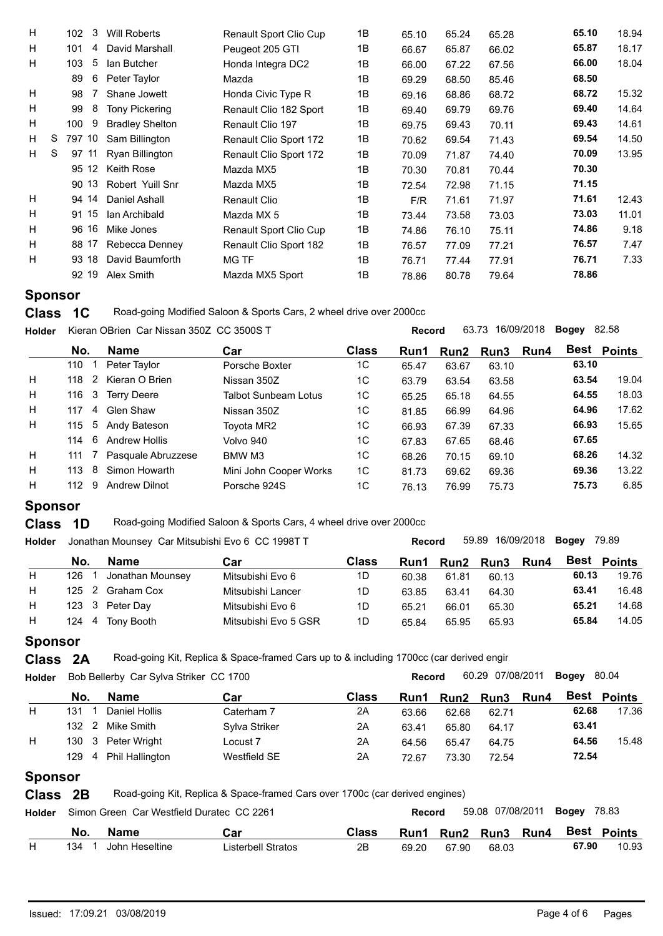| H |   | 3<br>102 | Will Roberts           | <b>Renault Sport Clio Cup</b> | 1B | 65.10 | 65.24 | 65.28 | 65.10 | 18.94 |
|---|---|----------|------------------------|-------------------------------|----|-------|-------|-------|-------|-------|
| H |   | 101<br>4 | David Marshall         | Peugeot 205 GTI               | 1B | 66.67 | 65.87 | 66.02 | 65.87 | 18.17 |
| H |   | 5<br>103 | lan Butcher            | Honda Integra DC2             | 1B | 66.00 | 67.22 | 67.56 | 66.00 | 18.04 |
|   |   | 6<br>89  | Peter Taylor           | Mazda                         | 1B | 69.29 | 68.50 | 85.46 | 68.50 |       |
| H |   | 98       | Shane Jowett           | Honda Civic Type R            | 1B | 69.16 | 68.86 | 68.72 | 68.72 | 15.32 |
| H |   | 8<br>99  | <b>Tony Pickering</b>  | Renault Clio 182 Sport        | 1B | 69.40 | 69.79 | 69.76 | 69.40 | 14.64 |
| H |   | 9<br>100 | <b>Bradley Shelton</b> | Renault Clio 197              | 1B | 69.75 | 69.43 | 70.11 | 69.43 | 14.61 |
| H | S | 797 10   | Sam Billington         | Renault Clio Sport 172        | 1B | 70.62 | 69.54 | 71.43 | 69.54 | 14.50 |
| H | S | 97 11    | Ryan Billington        | Renault Clio Sport 172        | 1B | 70.09 | 71.87 | 74.40 | 70.09 | 13.95 |
|   |   | 95 12    | Keith Rose             | Mazda MX5                     | 1B | 70.30 | 70.81 | 70.44 | 70.30 |       |
|   |   | 90 13    | Robert Yuill Snr       | Mazda MX5                     | 1B | 72.54 | 72.98 | 71.15 | 71.15 |       |
| H |   | 14<br>94 | Daniel Ashall          | Renault Clio                  | 1B | F/R   | 71.61 | 71.97 | 71.61 | 12.43 |
| H |   | 91 15    | lan Archibald          | Mazda MX 5                    | 1B | 73.44 | 73.58 | 73.03 | 73.03 | 11.01 |
| H |   | 96 16    | Mike Jones             | Renault Sport Clio Cup        | 1B | 74.86 | 76.10 | 75.11 | 74.86 | 9.18  |
| H |   | 88 17    | Rebecca Denney         | Renault Clio Sport 182        | 1B | 76.57 | 77.09 | 77.21 | 76.57 | 7.47  |
| H |   | 93 18    | David Baumforth        | MG TF                         | 1B | 76.71 | 77.44 | 77.91 | 76.71 | 7.33  |
|   |   | 92 19    | Alex Smith             | Mazda MX5 Sport               | 1B | 78.86 | 80.78 | 79.64 | 78.86 |       |

**Class 1C** Road-going Modified Saloon & Sports Cars, 2 wheel drive over 2000cc

| <b>Holder</b> |                     | Kieran OBrien Car Nissan 350Z CC 3500S T |                             |              |       | 63.73 16/09/2018<br>82.58<br>Bogey<br><b>Record</b> |       |      |       |                    |  |  |
|---------------|---------------------|------------------------------------------|-----------------------------|--------------|-------|-----------------------------------------------------|-------|------|-------|--------------------|--|--|
|               | No.                 | <b>Name</b>                              | Car                         | <b>Class</b> | Run1  | Run2                                                | Run3  | Run4 |       | <b>Best Points</b> |  |  |
|               | 110                 | Peter Taylor                             | Porsche Boxter              | 1C           | 65.47 | 63.67                                               | 63.10 |      | 63.10 |                    |  |  |
| H             | $\sim$ 2<br>118     | Kieran O Brien                           | Nissan 350Z                 | 1C           | 63.79 | 63.54                                               | 63.58 |      | 63.54 | 19.04              |  |  |
| H             | $\mathbf{3}$<br>116 | <b>Terry Deere</b>                       | <b>Talbot Sunbeam Lotus</b> | 1C           | 65.25 | 65.18                                               | 64.55 |      | 64.55 | 18.03              |  |  |
| H             | 117<br>-4           | Glen Shaw                                | Nissan 350Z                 | 1C           | 81.85 | 66.99                                               | 64.96 |      | 64.96 | 17.62              |  |  |
| H             | 115                 | 5 Andy Bateson                           | Toyota MR2                  | 1C           | 66.93 | 67.39                                               | 67.33 |      | 66.93 | 15.65              |  |  |
|               | 6<br>114            | <b>Andrew Hollis</b>                     | Volvo 940                   | 1C           | 67.83 | 67.65                                               | 68.46 |      | 67.65 |                    |  |  |
| H             | 111                 | Pasquale Abruzzese                       | BMW M3                      | 1C           | 68.26 | 70.15                                               | 69.10 |      | 68.26 | 14.32              |  |  |
| H             | 8<br>113            | Simon Howarth                            | Mini John Cooper Works      | 1C           | 81.73 | 69.62                                               | 69.36 |      | 69.36 | 13.22              |  |  |
| H             | 9<br>112            | <b>Andrew Dilnot</b>                     | Porsche 924S                | 1C           | 76.13 | 76.99                                               | 75.73 |      | 75.73 | 6.85               |  |  |

# **Sponsor**

**Class 1D** Road-going Modified Saloon & Sports Cars, 4 wheel drive over 2000cc

| <b>Holder</b> |           | Jonathan Mounsey Car Mitsubishi Evo 6 CC 1998T T |                      |              | <b>Record</b> |       | 59.89 16/09/2018 | Bogey<br>79.89 |       |             |
|---------------|-----------|--------------------------------------------------|----------------------|--------------|---------------|-------|------------------|----------------|-------|-------------|
|               | No.       | <b>Name</b>                                      | Car                  | <b>Class</b> | <b>Run1</b>   |       | Run2 Run3        | <b>Run4</b>    |       | Best Points |
| H             | 126       | Jonathan Mounsey                                 | Mitsubishi Evo 6     | 1D           | 60.38         | 61.81 | 60.13            |                | 60.13 | 19.76       |
| н             | 125       | Graham Cox                                       | Mitsubishi Lancer    | 1D           | 63.85         | 63.41 | 64.30            |                | 63.41 | 16.48       |
| H             | 123 3     | Peter Dav                                        | Mitsubishi Evo 6     | 1D           | 65.21         | 66.01 | 65.30            |                | 65.21 | 14.68       |
| H             | 124<br>-4 | Tony Booth                                       | Mitsubishi Evo 5 GSR | 1D           | 65.84         | 65.95 | 65.93            |                | 65.84 | 14.05       |
|               |           |                                                  |                      |              |               |       |                  |                |       |             |

# **Sponsor**

**Class** 2A Road-going Kit, Replica & Space-framed Cars up to & including 1700cc (car derived engir

| 60.29 07/08/2011 Bogey<br>80.04<br>Holder Bob Bellerby Car Sylva Striker CC 1700<br><b>Record</b> |
|---------------------------------------------------------------------------------------------------|
|---------------------------------------------------------------------------------------------------|

|   | No. | <b>Name</b>        | Car           | <b>Class</b> | Run1  |       | Run2 Run3 | Run4 | Best  | <b>Points</b> |
|---|-----|--------------------|---------------|--------------|-------|-------|-----------|------|-------|---------------|
|   | 131 | Daniel Hollis      | Caterham 7    | 2A           | 63.66 | 62.68 | 62.71     |      | 62.68 | 17.36         |
|   |     | 132 2 Mike Smith   | Sylva Striker | 2A           | 63.41 | 65.80 | 64.17     |      | 63.41 |               |
| Н |     | 130 3 Peter Wright | Locust 7      | 2A           | 64.56 | 65.47 | 64.75     |      | 64.56 | 15.48         |
|   | 129 | 4 Phil Hallington  | Westfield SE  | 2A           | 72.67 | 73.30 | 72.54     |      | 72.54 |               |

# **Sponsor**

**Class** 2B Road-going Kit, Replica & Space-framed Cars over 1700c (car derived engines)

| Holder | Simon Green Car Westfield Duratec CC 2261 |                |                    |              |       | Record      | 59.08 07/08/2011 |             |       | 78.83<br>Bogey |  |  |
|--------|-------------------------------------------|----------------|--------------------|--------------|-------|-------------|------------------|-------------|-------|----------------|--|--|
|        | No.                                       | Name           | Car                | <b>Class</b> | Run1  | <b>Run2</b> | <b>Run3</b>      | <b>Run4</b> | Best  | <b>Points</b>  |  |  |
|        | 134                                       | John Heseltine | Listerbell Stratos | 2B           | 69.20 | 67.90       | 68.03            |             | 67.90 | 10.93          |  |  |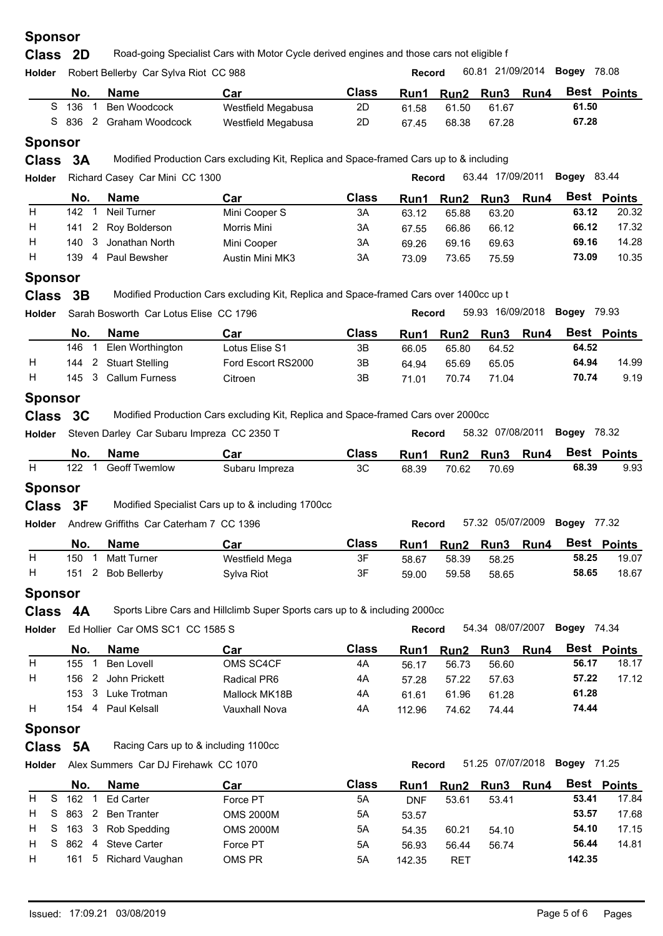| <b>Class</b><br><b>2D</b> | Road-going Specialist Cars with Motor Cycle derived engines and those cars not eligible f<br>ີ |  |
|---------------------------|------------------------------------------------------------------------------------------------|--|
|---------------------------|------------------------------------------------------------------------------------------------|--|

| <b>Holder</b> |         | Robert Bellerby Car Sylva Riot CC 988 |                 |                    |              | <b>Record</b> |           | 60.81 21/09/2014 <b>Bogey</b> 78.08 |      |       |             |
|---------------|---------|---------------------------------------|-----------------|--------------------|--------------|---------------|-----------|-------------------------------------|------|-------|-------------|
|               | No.     |                                       | <b>Name</b>     | Car                | <b>Class</b> | Run1          | Run2 Run3 |                                     | Run4 |       | Best Points |
|               | 136     |                                       | Ben Woodcock    | Westfield Megabusa | 2D           | 61.58         | 61.50     | 61.67                               |      | 61.50 |             |
|               | S 836 2 |                                       | Graham Woodcock | Westfield Megabusa | 2D           | 67.45         | 68.38     | 67.28                               |      | 67.28 |             |
|               |         |                                       |                 |                    |              |               |           |                                     |      |       |             |

# **Sponsor**

**Class 3A** Modified Production Cars excluding Kit, Replica and Space-framed Cars up to & including

| <b>Holder</b> |            | Richard Casey Car Mini CC 1300 |                 | 63.44 17/09/2011<br><b>Bogey</b> 83.44<br><b>Record</b> |       |       |                |  |       |             |
|---------------|------------|--------------------------------|-----------------|---------------------------------------------------------|-------|-------|----------------|--|-------|-------------|
|               | No.        | Name                           | Car             | <b>Class</b>                                            | Run1  |       | Run2 Run3 Run4 |  |       | Best Points |
| н             | 142        | Neil Turner                    | Mini Cooper S   | 3A                                                      | 63.12 | 65.88 | 63.20          |  | 63.12 | 20.32       |
| н             |            | 141 2 Roy Bolderson            | Morris Mini     | ЗΑ                                                      | 67.55 | 66.86 | 66.12          |  | 66.12 | 17.32       |
| н             | 3<br>140.  | Jonathan North                 | Mini Cooper     | 3A                                                      | 69.26 | 69.16 | 69.63          |  | 69.16 | 14.28       |
|               | 139.<br>-4 | Paul Bewsher                   | Austin Mini MK3 | 3A                                                      | 73.09 | 73.65 | 75.59          |  | 73.09 | 10.35       |
|               |            |                                |                 |                                                         |       |       |                |  |       |             |

#### **Sponsor**

**Class** 3B Modified Production Cars excluding Kit, Replica and Space-framed Cars over 1400cc up t

| <b>Holder</b> |     | Sarah Bosworth Car Lotus Elise CC 1796 |                    |              | Record |       | 59.93 16/09/2018 |             | Bogev | 79.93              |  |
|---------------|-----|----------------------------------------|--------------------|--------------|--------|-------|------------------|-------------|-------|--------------------|--|
|               | No. | <b>Name</b>                            | Car                | <b>Class</b> | Run1   |       | Run2 Run3        | <b>Run4</b> |       | <b>Best Points</b> |  |
|               | 146 | Elen Worthington                       | Lotus Elise S1     | 3B           | 66.05  | 65.80 | 64.52            |             | 64.52 |                    |  |
| Н             | 144 | 2 Stuart Stelling                      | Ford Escort RS2000 | 3B           | 64.94  | 65.69 | 65.05            |             | 64.94 | 14.99              |  |
| Н             | 145 | <b>Callum Furness</b>                  | Citroen            | 3B           | 71.01  | 70.74 | 71.04            |             | 70.74 | 9.19               |  |
|               |     |                                        |                    |              |        |       |                  |             |       |                    |  |

### **Sponsor**

**Class** 3C Modified Production Cars excluding Kit, Replica and Space-framed Cars over 2000cc

| <b>Holder</b> |     | Steven Darley Car Subaru Impreza CC 2350 T |                | Record |             |       | 58.32 07/08/2011 | <b>Boaev</b> 78.32 |       |                    |
|---------------|-----|--------------------------------------------|----------------|--------|-------------|-------|------------------|--------------------|-------|--------------------|
|               | No. | <b>Name</b>                                | Car            | Class  | <b>Run1</b> |       | Run2 Run3 Run4   |                    |       | <b>Best Points</b> |
|               | 122 | <b>Geoff Twemlow</b>                       | Subaru Impreza | 3C     | 68.39       | 70.62 | 70.69            |                    | 68.39 | 9.93               |
|               |     |                                            |                |        |             |       |                  |                    |       |                    |

# **Sponsor**

**Class** 3F Modified Specialist Cars up to & including 1700cc

**Holder Record** 57.32 05/07/2009 **Bogey** Andrew Griffiths Car Caterham 7 CC 1396

| No. | <b>Name</b>        | Car            | Class | Run1  | Run <sub>2</sub> | Run3  | Run4 | <b>Best</b> | <b>Points</b> |
|-----|--------------------|----------------|-------|-------|------------------|-------|------|-------------|---------------|
| 150 | <b>Matt Turner</b> | Westfield Mega | 3F    | 58.67 | 58.39            | 58.25 |      | 58.25       | 19.07         |
| 151 | Bob Bellerby       | Sylva Riot     | 3F    | 59.00 | 59.58            | 58.65 |      | 58.65       | 18.67         |

## **Sponsor**

**Class 4A** Sports Libre Cars and Hillclimb Super Sports cars up to & including 2000cc

| <b>Holder</b> |             | Ed Hollier Car OMS SC1 CC 1585 S |               |              |        | 54.34 08/07/2007<br>Bogev<br>74.34<br><b>Record</b> |             |      |       |             |  |
|---------------|-------------|----------------------------------|---------------|--------------|--------|-----------------------------------------------------|-------------|------|-------|-------------|--|
|               | No.         | Name                             | Car           | <b>Class</b> | Run1   | Run <sub>2</sub>                                    | <b>Run3</b> | Run4 |       | Best Points |  |
| H             | 155         | Ben Lovell                       | OMS SC4CF     | 4A           | 56.17  | 56.73                                               | 56.60       |      | 56.17 | 18.17       |  |
| H             | 156.        | John Prickett                    | Radical PR6   | 4A           | 57.28  | 57.22                                               | 57.63       |      | 57.22 | 17.12       |  |
|               | 153<br>- 3- | Luke Trotman                     | Mallock MK18B | 4A           | 61.61  | 61.96                                               | 61.28       |      | 61.28 |             |  |
| H             | 154<br>4    | Paul Kelsall                     | Vauxhall Nova | 4Α           | 112.96 | 74.62                                               | 74.44       |      | 74.44 |             |  |
|               |             |                                  |               |              |        |                                                     |             |      |       |             |  |

# **Sponsor**

**Class** 5A Racing Cars up to & including 1100cc

**Holder Record** 51.25 07/07/2018 **Bogey** Alex Summers Car DJ Firehawk CC 1070

|       | Name | Car                                                                                                                | Class | Run1   |            |       |           |             | Best Points |
|-------|------|--------------------------------------------------------------------------------------------------------------------|-------|--------|------------|-------|-----------|-------------|-------------|
| 162   |      | Force PT                                                                                                           | 5A    | DNF    | 53.61      | 53.41 |           | 53.41       | 17.84       |
|       |      | <b>OMS 2000M</b>                                                                                                   | 5A    | 53.57  |            |       |           | 53.57       | 17.68       |
|       |      | <b>OMS 2000M</b>                                                                                                   | 5A    | 54.35  | 60.21      | 54.10 |           | 54.10       | 17.15       |
|       |      | Force PT                                                                                                           | 5A    | 56.93  | 56.44      | 56.74 |           | 56.44       | 14.81       |
|       |      | OMS PR                                                                                                             | 5A    | 142.35 | <b>RET</b> |       |           | 142.35      |             |
| $H$ S | No.  | Ed Carter<br>H S 863 2 Ben Tranter<br>H S 163 3 Rob Spedding<br>H S 862 4 Steve Carter<br>Richard Vaughan<br>161 5 |       |        |            |       | Run2 Run3 | <b>Run4</b> |             |

57.32 05/07/2009 Bogey 77.32

51.25 07/07/2018 **Bogey** 71.25